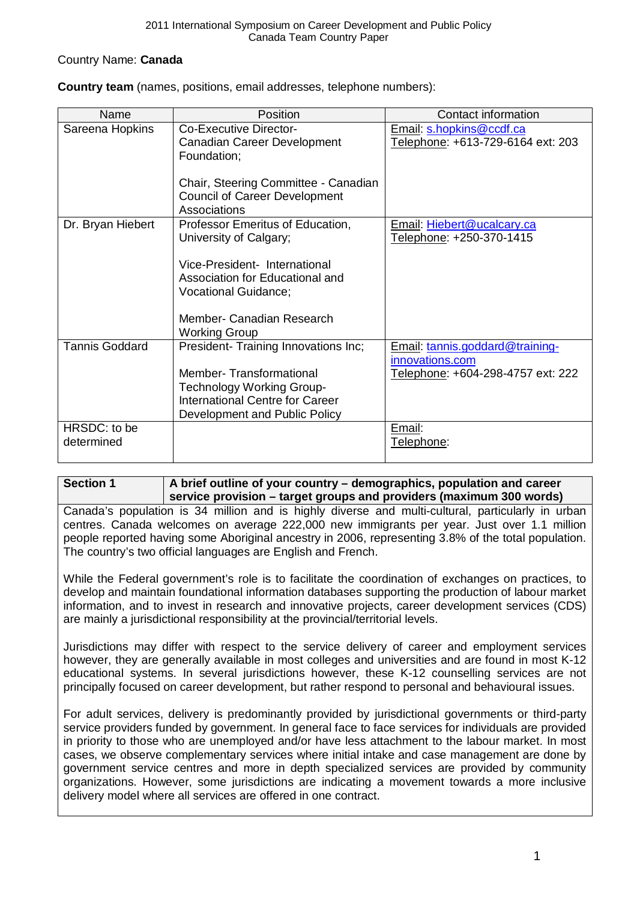## Country Name: **Canada**

| <b>Country team</b> (names, positions, email addresses, telephone numbers): |  |
|-----------------------------------------------------------------------------|--|
|-----------------------------------------------------------------------------|--|

| Name                       | Position                                                                                                                               | Contact information                                           |
|----------------------------|----------------------------------------------------------------------------------------------------------------------------------------|---------------------------------------------------------------|
| Sareena Hopkins            | Co-Executive Director-<br>Canadian Career Development<br>Foundation;                                                                   | Email: s.hopkins@ccdf.ca<br>Telephone: +613-729-6164 ext: 203 |
|                            | Chair, Steering Committee - Canadian<br><b>Council of Career Development</b><br>Associations                                           |                                                               |
| Dr. Bryan Hiebert          | Professor Emeritus of Education,<br>University of Calgary;                                                                             | Email: Hiebert@ucalcary.ca<br>Telephone: +250-370-1415        |
|                            | Vice-President- International<br>Association for Educational and<br>Vocational Guidance;                                               |                                                               |
|                            | Member- Canadian Research<br><b>Working Group</b>                                                                                      |                                                               |
| <b>Tannis Goddard</b>      | President- Training Innovations Inc;                                                                                                   | Email: tannis.goddard@training-<br>innovations.com            |
|                            | <b>Member-Transformational</b><br><b>Technology Working Group-</b><br>International Centre for Career<br>Development and Public Policy | Telephone: +604-298-4757 ext: 222                             |
| HRSDC: to be<br>determined |                                                                                                                                        | Email:<br>Telephone:                                          |

## **Section 1 A brief outline of your country – demographics, population and career service provision – target groups and providers (maximum 300 words)**

Canada's population is 34 million and is highly diverse and multi-cultural, particularly in urban centres. Canada welcomes on average 222,000 new immigrants per year. Just over 1.1 million people reported having some Aboriginal ancestry in 2006, representing 3.8% of the total population. The country's two official languages are English and French.

While the Federal government's role is to facilitate the coordination of exchanges on practices, to develop and maintain foundational information databases supporting the production of labour market information, and to invest in research and innovative projects, career development services (CDS) are mainly a jurisdictional responsibility at the provincial/territorial levels.

Jurisdictions may differ with respect to the service delivery of career and employment services however, they are generally available in most colleges and universities and are found in most K-12 educational systems. In several jurisdictions however, these K-12 counselling services are not principally focused on career development, but rather respond to personal and behavioural issues.

<span id="page-0-0"></span>For adult services, delivery is predominantly provided by jurisdictional governments or third-party service providers funded by government. In general face to face services for individuals are provided in priority to those who are unemployed and/or have less attachment to the labour market. In most cases, we observe complementary services where initial intake and case management are done by government service centres and more in depth specialized services are provided by community organizations. However, some jurisdictions are indicating a movement towards a more inclusive delivery model where all services are offered in one contract.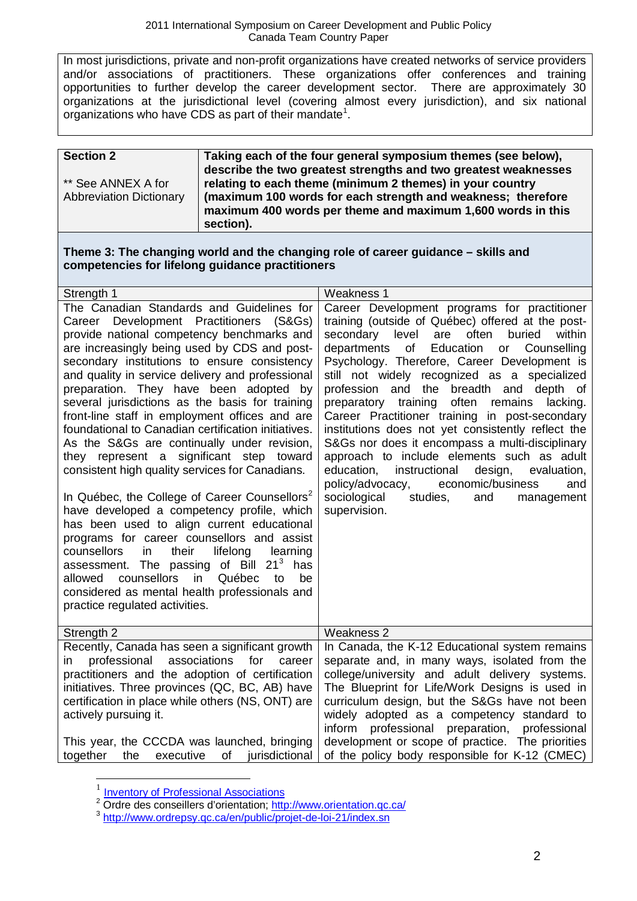In most jurisdictions, private and non-profit organizations have created networks of service providers and/or associations of practitioners. These organizations offer conferences and training opportunities to further develop the career development sector. There are approximately 30 organizations at the jurisdictional level (covering almost every jurisdiction), and six national organizations who have CDS as part of their mandate<sup>[1](#page-0-0)</sup>.

| <b>Section 2</b>               | Taking each of the four general symposium themes (see below),<br>describe the two greatest strengths and two greatest weaknesses |
|--------------------------------|----------------------------------------------------------------------------------------------------------------------------------|
| ** See ANNEX A for             | relating to each theme (minimum 2 themes) in your country                                                                        |
| <b>Abbreviation Dictionary</b> | (maximum 100 words for each strength and weakness; therefore<br>maximum 400 words per theme and maximum 1,600 words in this      |
|                                | section).                                                                                                                        |

#### **Theme 3: The changing world and the changing role of career guidance – skills and competencies for lifelong guidance practitioners**

| Strength 1                                                                                                                                                                                                                                                                                                                                                                                                                                                                                                                                                                                                                                                                                                                                                                                                                                                                                                                                                                                                                                                                                              | <b>Weakness 1</b>                                                                                                                                                                                                                                                                                                                                                                                                                                                                                                                                                                                                                                                                                                                                                                                     |
|---------------------------------------------------------------------------------------------------------------------------------------------------------------------------------------------------------------------------------------------------------------------------------------------------------------------------------------------------------------------------------------------------------------------------------------------------------------------------------------------------------------------------------------------------------------------------------------------------------------------------------------------------------------------------------------------------------------------------------------------------------------------------------------------------------------------------------------------------------------------------------------------------------------------------------------------------------------------------------------------------------------------------------------------------------------------------------------------------------|-------------------------------------------------------------------------------------------------------------------------------------------------------------------------------------------------------------------------------------------------------------------------------------------------------------------------------------------------------------------------------------------------------------------------------------------------------------------------------------------------------------------------------------------------------------------------------------------------------------------------------------------------------------------------------------------------------------------------------------------------------------------------------------------------------|
| The Canadian Standards and Guidelines for<br>Career Development Practitioners<br>(S&Gs)<br>provide national competency benchmarks and<br>are increasingly being used by CDS and post-<br>secondary institutions to ensure consistency<br>and quality in service delivery and professional<br>preparation. They have been adopted<br>by<br>several jurisdictions as the basis for training<br>front-line staff in employment offices and are<br>foundational to Canadian certification initiatives.<br>As the S&Gs are continually under revision,<br>they represent a significant step toward<br>consistent high quality services for Canadians.<br>In Québec, the College of Career Counsellors <sup>2</sup><br>have developed a competency profile, which<br>has been used to align current educational<br>programs for career counsellors and assist<br>counsellors<br>their<br>lifelong<br>in.<br>learning<br>assessment. The passing of Bill $213$<br>has<br>counsellors<br>in<br>Québec<br>allowed<br>be<br>to<br>considered as mental health professionals and<br>practice regulated activities. | Career Development programs for practitioner<br>training (outside of Québec) offered at the post-<br>buried<br>within<br>secondary level<br>are<br>often<br>departments<br>of<br>Education<br>Counselling<br>or<br>Psychology. Therefore, Career Development is<br>still not widely recognized as a specialized<br>profession and the breadth and depth of<br>often<br>preparatory training<br>remains<br>lacking.<br>Career Practitioner training in post-secondary<br>institutions does not yet consistently reflect the<br>S&Gs nor does it encompass a multi-disciplinary<br>approach to include elements such as adult<br>education,<br>instructional<br>design,<br>evaluation,<br>economic/business<br>policy/advocacy,<br>and<br>sociological<br>studies,<br>and<br>management<br>supervision. |
| Strength 2                                                                                                                                                                                                                                                                                                                                                                                                                                                                                                                                                                                                                                                                                                                                                                                                                                                                                                                                                                                                                                                                                              | <b>Weakness 2</b>                                                                                                                                                                                                                                                                                                                                                                                                                                                                                                                                                                                                                                                                                                                                                                                     |
| Recently, Canada has seen a significant growth<br>professional<br>associations<br>for<br>career<br>in.<br>practitioners and the adoption of certification<br>initiatives. Three provinces (QC, BC, AB) have<br>certification in place while others (NS, ONT) are<br>actively pursuing it.<br>This year, the CCCDA was launched, bringing<br>the<br>executive<br>of<br>jurisdictional<br>together                                                                                                                                                                                                                                                                                                                                                                                                                                                                                                                                                                                                                                                                                                        | In Canada, the K-12 Educational system remains<br>separate and, in many ways, isolated from the<br>college/university and adult delivery systems.<br>The Blueprint for Life/Work Designs is used in<br>curriculum design, but the S&Gs have not been<br>widely adopted as a competency standard to<br>inform professional preparation, professional<br>development or scope of practice. The priorities<br>of the policy body responsible for K-12 (CMEC)                                                                                                                                                                                                                                                                                                                                             |

<span id="page-1-2"></span> $\frac{1}{2}$  [Inventory of Professional Associations](http://www.flmm-cds.ca/CMFiles/Inventory%20Professional%20Associations1-may15.doc)<br> $\frac{1}{2}$  Ordre des conseillers d'orientation: http://www.orientation.gc.ca/

<span id="page-1-1"></span><span id="page-1-0"></span><sup>3</sup> <http://www.ordrepsy.qc.ca/en/public/projet-de-loi-21/index.sn>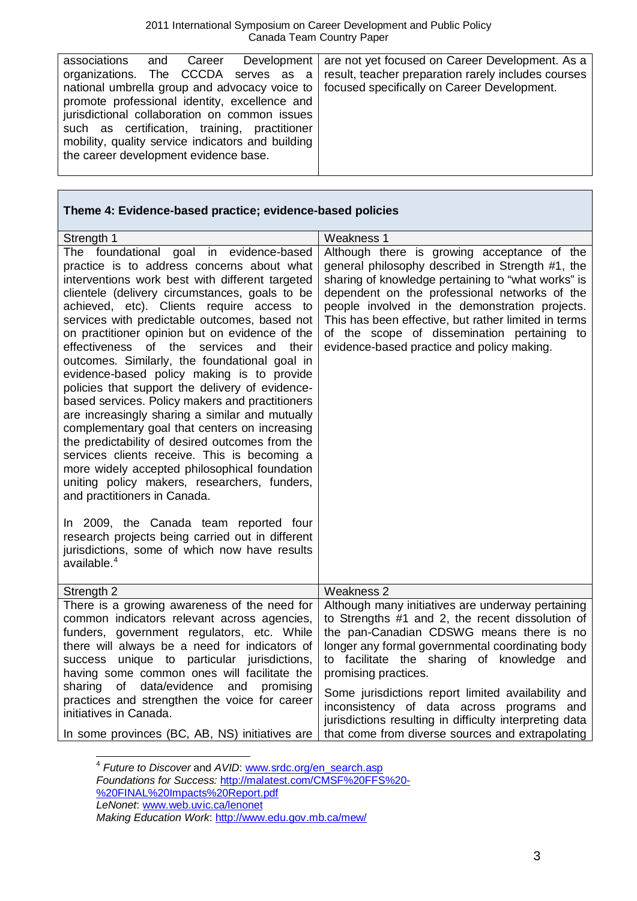| associations                                      | and                                           | Career |  |  |  | Development   are not yet focused on Career Development. As a                               |
|---------------------------------------------------|-----------------------------------------------|--------|--|--|--|---------------------------------------------------------------------------------------------|
|                                                   |                                               |        |  |  |  | organizations. The CCCDA serves as a result, teacher preparation rarely includes courses    |
|                                                   |                                               |        |  |  |  | national umbrella group and advocacy voice to   focused specifically on Career Development. |
| promote professional identity, excellence and     |                                               |        |  |  |  |                                                                                             |
|                                                   | jurisdictional collaboration on common issues |        |  |  |  |                                                                                             |
| such as certification, training, practitioner     |                                               |        |  |  |  |                                                                                             |
| mobility, quality service indicators and building |                                               |        |  |  |  |                                                                                             |
| the career development evidence base.             |                                               |        |  |  |  |                                                                                             |
|                                                   |                                               |        |  |  |  |                                                                                             |

# **Theme 4: Evidence-based practice; evidence-based policies**

| Strength 1                                                                                                                                                                                                                                                                                                                                                                                                                                                                                                                                                                                                                                                                                                                                                                                                                                                                                                                                                                                                                                                                                                         | <b>Weakness 1</b>                                                                                                                                                                                                                                                                                                                                                                                                                         |
|--------------------------------------------------------------------------------------------------------------------------------------------------------------------------------------------------------------------------------------------------------------------------------------------------------------------------------------------------------------------------------------------------------------------------------------------------------------------------------------------------------------------------------------------------------------------------------------------------------------------------------------------------------------------------------------------------------------------------------------------------------------------------------------------------------------------------------------------------------------------------------------------------------------------------------------------------------------------------------------------------------------------------------------------------------------------------------------------------------------------|-------------------------------------------------------------------------------------------------------------------------------------------------------------------------------------------------------------------------------------------------------------------------------------------------------------------------------------------------------------------------------------------------------------------------------------------|
| The foundational goal in evidence-based<br>practice is to address concerns about what<br>interventions work best with different targeted<br>clientele (delivery circumstances, goals to be<br>achieved, etc). Clients require access to<br>services with predictable outcomes, based not<br>on practitioner opinion but on evidence of the<br>effectiveness of the<br>services and<br>their<br>outcomes. Similarly, the foundational goal in<br>evidence-based policy making is to provide<br>policies that support the delivery of evidence-<br>based services. Policy makers and practitioners<br>are increasingly sharing a similar and mutually<br>complementary goal that centers on increasing<br>the predictability of desired outcomes from the<br>services clients receive. This is becoming a<br>more widely accepted philosophical foundation<br>uniting policy makers, researchers, funders,<br>and practitioners in Canada.<br>In 2009, the Canada team reported four<br>research projects being carried out in different<br>jurisdictions, some of which now have results<br>available. <sup>4</sup> | Although there is growing acceptance of the<br>general philosophy described in Strength #1, the<br>sharing of knowledge pertaining to "what works" is<br>dependent on the professional networks of the<br>people involved in the demonstration projects.<br>This has been effective, but rather limited in terms<br>of the scope of dissemination pertaining to<br>evidence-based practice and policy making.                             |
| Strength 2                                                                                                                                                                                                                                                                                                                                                                                                                                                                                                                                                                                                                                                                                                                                                                                                                                                                                                                                                                                                                                                                                                         | Weakness 2                                                                                                                                                                                                                                                                                                                                                                                                                                |
| There is a growing awareness of the need for<br>common indicators relevant across agencies,<br>funders, government regulators, etc. While<br>there will always be a need for indicators of<br>success unique to particular jurisdictions,<br>having some common ones will facilitate the<br>sharing<br>of<br>data/evidence<br>promising<br>and<br>practices and strengthen the voice for career<br>initiatives in Canada.                                                                                                                                                                                                                                                                                                                                                                                                                                                                                                                                                                                                                                                                                          | Although many initiatives are underway pertaining<br>to Strengths #1 and 2, the recent dissolution of<br>the pan-Canadian CDSWG means there is no<br>longer any formal governmental coordinating body<br>to facilitate the sharing of knowledge and<br>promising practices.<br>Some jurisdictions report limited availability and<br>inconsistency of data across programs and<br>jurisdictions resulting in difficulty interpreting data |
| In some provinces (BC, AB, NS) initiatives are                                                                                                                                                                                                                                                                                                                                                                                                                                                                                                                                                                                                                                                                                                                                                                                                                                                                                                                                                                                                                                                                     | that come from diverse sources and extrapolating                                                                                                                                                                                                                                                                                                                                                                                          |

<span id="page-2-0"></span> 4 *Future to Discover* and *AVID*: [www.srdc.org/en\\_search.asp](http://www.srdc.org/en_search.asp) *Foundations for Success:* [http://malatest.com/CMSF%20FFS%20-](http://malatest.com/CMSF%20FFS%20-%20FINAL%20Impacts%20Report.pdf) [%20FINAL%20Impacts%20Report.pdf](http://malatest.com/CMSF%20FFS%20-%20FINAL%20Impacts%20Report.pdf) *LeNonet*: [www.web.uvic.ca/lenonet](http://www.web.uvic.ca/lenonet)

*Making Education Work*:<http://www.edu.gov.mb.ca/mew/>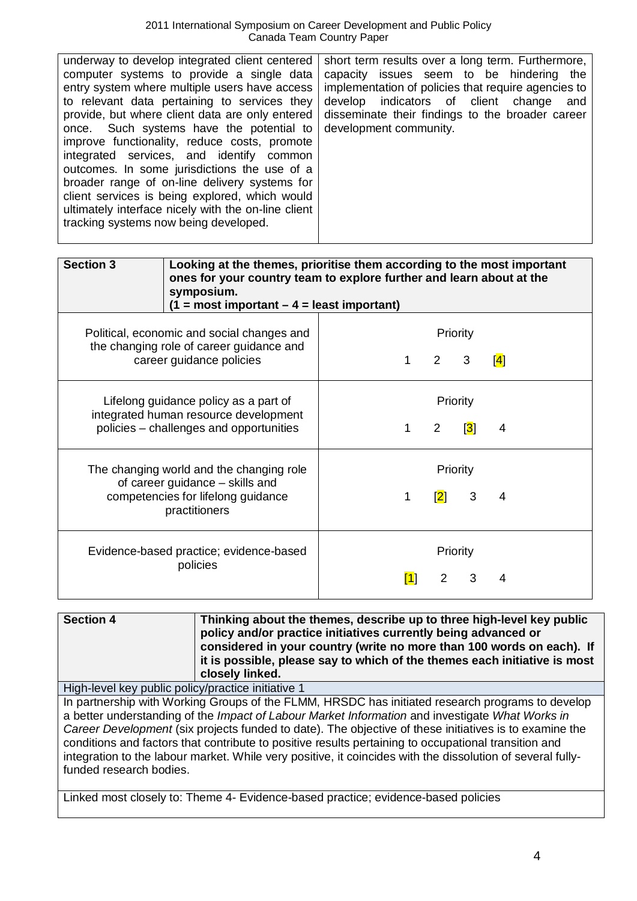| <b>Section 3</b>                                                                                                                   | Looking at the themes, prioritise them according to the most important<br>ones for your country team to explore further and learn about at the<br>symposium.<br>$(1 = most important - 4 = least important)$ |   |                |                          |               |
|------------------------------------------------------------------------------------------------------------------------------------|--------------------------------------------------------------------------------------------------------------------------------------------------------------------------------------------------------------|---|----------------|--------------------------|---------------|
|                                                                                                                                    | Political, economic and social changes and<br>the changing role of career guidance and<br>career guidance policies                                                                                           |   | $\overline{2}$ | Priority<br>3            | $\mathsf{I}4$ |
| Lifelong guidance policy as a part of<br>integrated human resource development<br>policies - challenges and opportunities          |                                                                                                                                                                                                              | 1 | $\overline{2}$ | Priority<br>$\mathbf{3}$ | 4             |
| The changing world and the changing role<br>of career guidance - skills and<br>competencies for lifelong guidance<br>practitioners |                                                                                                                                                                                                              |   | $\mathbf{[2]}$ | Priority<br>3            | 4             |
| Evidence-based practice; evidence-based                                                                                            | $\mathsf{[1]}$                                                                                                                                                                                               | 2 | Priority<br>3  |                          |               |

| <b>Section 4</b> | Thinking about the themes, describe up to three high-level key public<br>policy and/or practice initiatives currently being advanced or<br>considered in your country (write no more than 100 words on each). If<br>it is possible, please say to which of the themes each initiative is most |
|------------------|-----------------------------------------------------------------------------------------------------------------------------------------------------------------------------------------------------------------------------------------------------------------------------------------------|
|                  | closely linked.                                                                                                                                                                                                                                                                               |

High-level key public policy/practice initiative 1

In partnership with Working Groups of the FLMM, HRSDC has initiated research programs to develop a better understanding of the *Impact of Labour Market Information* and investigate *What Works in Career Development* (six projects funded to date). The objective of these initiatives is to examine the conditions and factors that contribute to positive results pertaining to occupational transition and integration to the labour market. While very positive, it coincides with the dissolution of several fullyfunded research bodies.

Linked most closely to: Theme 4- Evidence-based practice; evidence-based policies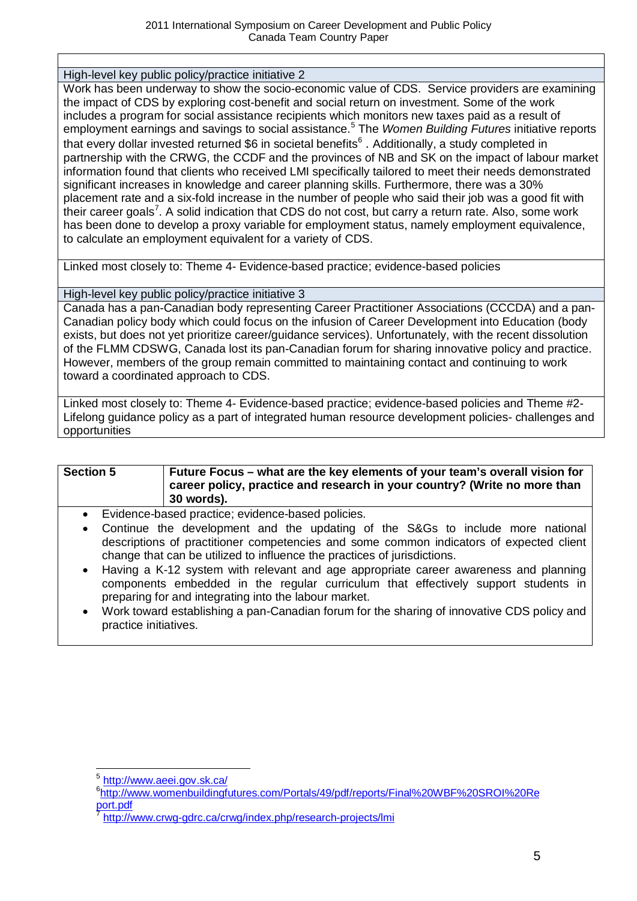High-level key public policy/practice initiative 2

Work has been underway to show the socio-economic value of CDS. Service providers are examining the impact of CDS by exploring cost-benefit and social return on investment. Some of the work includes a program for social assistance recipients which monitors new taxes paid as a result of employment earnings and savings to social assistance. [5](#page-2-0) The *Women Building Futures* initiative reports that every dollar invested returned \$[6](#page-4-0) in societal benefits<sup>6</sup>. Additionally, a study completed in partnership with the CRWG, the CCDF and the provinces of NB and SK on the impact of labour market information found that clients who received LMI specifically tailored to meet their needs demonstrated significant increases in knowledge and career planning skills. Furthermore, there was a 30% placement rate and a six-fold increase in the number of people who said their job was a good fit with their career goals<sup>[7](#page-4-0)</sup>. A solid indication that CDS do not cost, but carry a return rate. Also, some work has been done to develop a proxy variable for employment status, namely employment equivalence, to calculate an employment equivalent for a variety of CDS.

Linked most closely to: Theme 4- Evidence-based practice; evidence-based policies

High-level key public policy/practice initiative 3

Canada has a pan-Canadian body representing Career Practitioner Associations (CCCDA) and a pan-Canadian policy body which could focus on the infusion of Career Development into Education (body exists, but does not yet prioritize career/guidance services). Unfortunately, with the recent dissolution of the FLMM CDSWG, Canada lost its pan-Canadian forum for sharing innovative policy and practice. However, members of the group remain committed to maintaining contact and continuing to work toward a coordinated approach to CDS.

Linked most closely to: Theme 4- Evidence-based practice; evidence-based policies and Theme #2- Lifelong guidance policy as a part of integrated human resource development policies- challenges and opportunities

| <b>Section 5</b> | Future Focus – what are the key elements of your team's overall vision for<br>career policy, practice and research in your country? (Write no more than<br>30 words). |
|------------------|-----------------------------------------------------------------------------------------------------------------------------------------------------------------------|
|------------------|-----------------------------------------------------------------------------------------------------------------------------------------------------------------------|

- Evidence-based practice; evidence-based policies.
- Continue the development and the updating of the S&Gs to include more national descriptions of practitioner competencies and some common indicators of expected client change that can be utilized to influence the practices of jurisdictions.
- Having a K-12 system with relevant and age appropriate career awareness and planning components embedded in the regular curriculum that effectively support students in preparing for and integrating into the labour market.
- Work toward establishing a pan-Canadian forum for the sharing of innovative CDS policy and practice initiatives.

<span id="page-4-0"></span><sup>5</sup> <http://www.aeei.gov.sk.ca/> <sup>6</sup>

[http://www.womenbuildingfutures.com/Portals/49/pdf/reports/Final%20WBF%20SROI%20Re](http://www.womenbuildingfutures.com/Portals/49/pdf/reports/Final%20WBF%20SROI%20Report.pdf) [port.pdf](http://www.womenbuildingfutures.com/Portals/49/pdf/reports/Final%20WBF%20SROI%20Report.pdf)

<sup>7</sup> <http://www.crwg-gdrc.ca/crwg/index.php/research-projects/lmi>